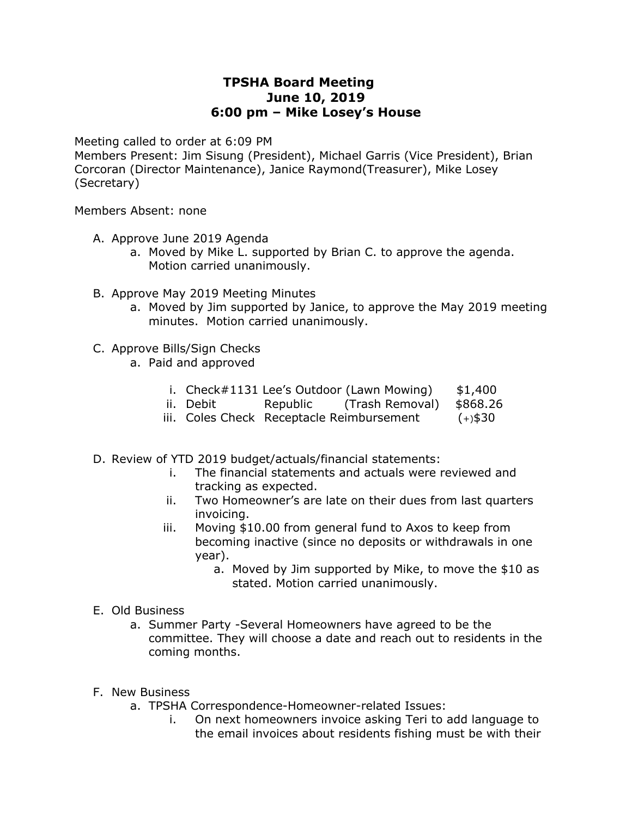## **TPSHA Board Meeting June 10, 2019 6:00 pm – Mike Losey's House**

Meeting called to order at 6:09 PM

Members Present: Jim Sisung (President), Michael Garris (Vice President), Brian Corcoran (Director Maintenance), Janice Raymond(Treasurer), Mike Losey (Secretary)

Members Absent: none

- A. Approve June 2019 Agenda
	- a. Moved by Mike L. supported by Brian C. to approve the agenda. Motion carried unanimously.
- B. Approve May 2019 Meeting Minutes
	- a. Moved by Jim supported by Janice, to approve the May 2019 meeting minutes. Motion carried unanimously.
- C. Approve Bills/Sign Checks
	- a. Paid and approved
		- i. Check $\#1131$  Lee's Outdoor (Lawn Mowing)  $$1,400$
		- ii. Debit Republic (Trash Removal) \$868.26
		- iii. Coles Check Receptacle Reimbursement (+)\$30
- D. Review of YTD 2019 budget/actuals/financial statements:
	- i. The financial statements and actuals were reviewed and tracking as expected.
	- ii. Two Homeowner's are late on their dues from last quarters invoicing.
	- iii. Moving \$10.00 from general fund to Axos to keep from becoming inactive (since no deposits or withdrawals in one year).
		- a. Moved by Jim supported by Mike, to move the \$10 as stated. Motion carried unanimously.
- E. Old Business
	- a. Summer Party -Several Homeowners have agreed to be the committee. They will choose a date and reach out to residents in the coming months.
- F. New Business
	- a. TPSHA Correspondence-Homeowner-related Issues:
		- i. On next homeowners invoice asking Teri to add language to the email invoices about residents fishing must be with their